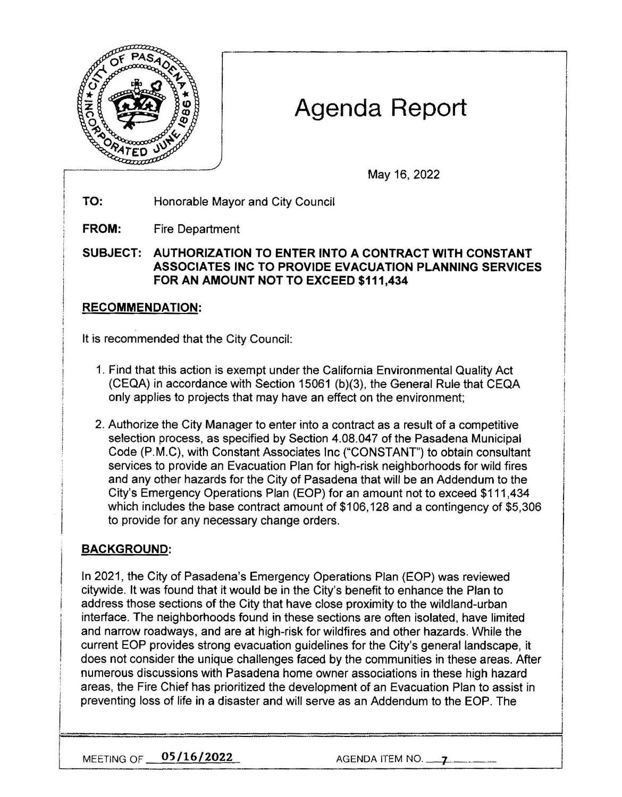

# Agenda Report

May 16, 2022

**TO:**  Honorable Mayor and City Council

**FROM:**  Fire Department

**SUBJECT: AUTHORIZATION TO ENTER INTO A CONTRACT WITH CONSTANT ASSOCIATES INC TO PROVIDE EVACUATION PLANNING SERVICES FOR AN AMOUNT NOT TO EXCEED \$111,434** 

### **RECOMMENDATION:**

It is recommended that the City Council:

- 1. Find that this action is exempt under the California Environmental Quality Act (CEQA) in accordance with Section 15061 (b)(3), the General Rule that CEQA only applies to projects that may have an effect on the environment;
- 2. Authorize the City Manager to enter into a contract as a result of a competitive selection process, as specified by Section 4.08.047 of the Pasadena Municipal Code (P.M.C), with Constant Associates Inc ("CONSTANT") to obtain consultant services to provide an Evacuation Plan for high-risk neighborhoods for wild fires and any other hazards for the City of Pasadena that will be an Addendum to the City's Emergency Operations Plan (EOP) for an amount not to exceed \$111,434 which includes the base contract amount of \$106,128 and a contingency of \$5,306 to provide for any necessary change orders.

## **BACKGROUND:**

In 2021, the City of Pasadena's Emergency Operations Plan (EOP) was reviewed citywide. It was found that it would be in the City's benefit to enhance the Plan to address those sections of the City that have close proximity to the wildland-urban interface. The neighborhoods found in these sections are often isolated, have limited and narrow roadways, and are at high-risk for wildfires and other hazards. While the current EOP provides strong evacuation guidelines for the City's general landscape, it does not consider the unique challenges faced by the communities in these areas. After numerous discussions with Pasadena home owner associations in these high hazard areas, the Fire Chief has prioritized the development of an Evacuation Plan to assist in preventing loss of life in a disaster and will serve as an Addendum to the EOP. The

**MEETING OF <u>05/16/2022</u>** AGENDA ITEM NO. 4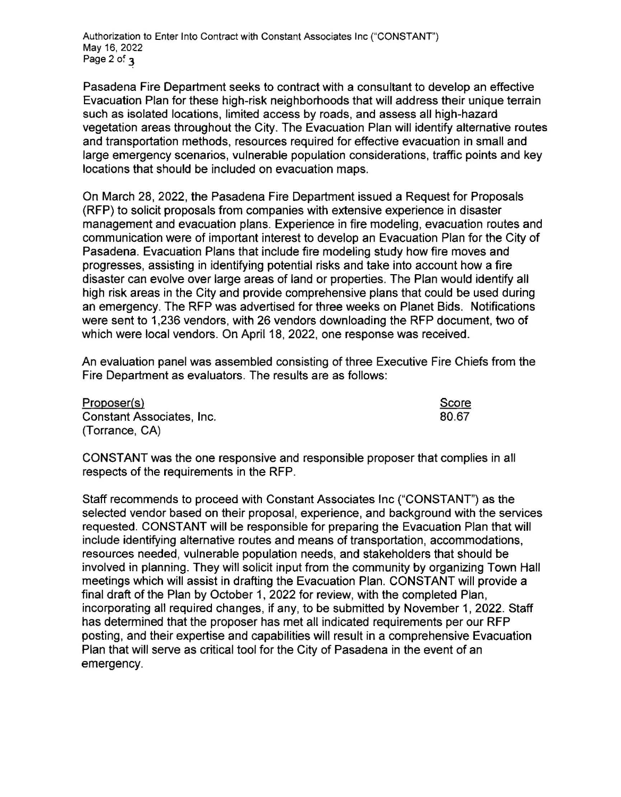Authorization to Enter Into Contract with Constant Associates Inc ("CONSTANT") May 16, 2022 Page  $2$  of  $\alpha$ 

Pasadena Fire Department seeks to contract with a consultant to develop an effective Evacuation Plan for these high-risk neighborhoods that will address their unique terrain such as isolated locations, limited access by roads, and assess all high-hazard vegetation areas throughout the City. The Evacuation Plan will identify alternative routes and transportation methods, resources required for effective evacuation in small and large emergency scenarios, vulnerable population considerations, traffic points and key locations that should be included on evacuation maps.

On March 28, 2022, the Pasadena Fire Department issued a Request for Proposals (RFP) to solicit proposals from companies with extensive experience in disaster management and evacuation plans. Experience in fire modeling, evacuation routes and communication were of important interest to develop an Evacuation Plan for the City of Pasadena. Evacuation Plans that include fire modeling study how fire moves and progresses, assisting in identifying potential risks and take into account how a fire disaster can evolve over large areas of land or properties. The Plan would identify all high risk areas in the City and provide comprehensive plans that could be used during an emergency. The RFP was advertised for three weeks on Planet Bids. Notifications were sent to 1,236 vendors, with 26 vendors downloading the RFP document, two of which were local vendors. On April 18, 2022, one response was received.

An evaluation panel was assembled consisting of three Executive Fire Chiefs from the Fire Department as evaluators. The results are as follows:

Proposer(s) Constant Associates, Inc. (Torrance, CA) Score 80.67

CONSTANT was the one responsive and responsible proposer that complies in all respects of the requirements in the RFP.

Staff recommends to proceed with Constant Associates Inc ("CONSTANT") as the selected vendor based on their proposal, experience, and background with the services requested. CONSTANT will be responsible for preparing the Evacuation Plan that will include identifying alternative routes and means of transportation, accommodations, resources needed, vulnerable population needs, and stakeholders that should be involved in planning. They will solicit input from the community by organizing Town Hall meetings which will assist in drafting the Evacuation Plan. CONSTANT will provide a final draft of the Plan by October 1, 2022 for review, with the completed Plan, incorporating all required changes, if any, to be submitted by November 1, 2022. Staff has determined that the proposer has met all indicated requirements per our RFP posting, and their expertise and capabilities will result in a comprehensive Evacuation Plan that will serve as critical tool for the City of Pasadena in the event of an emergency.